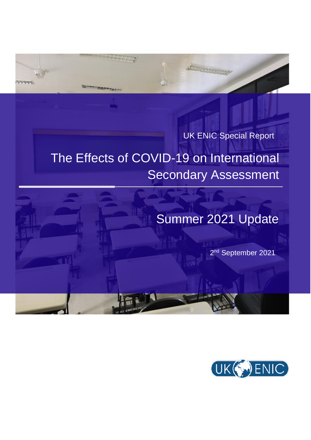UK ENIC Special Report

ESTERN STATE

## The Effects of COVID-19 on International Secondary Assessment

## Summer 2021 Update

2<sup>nd</sup> September 2021

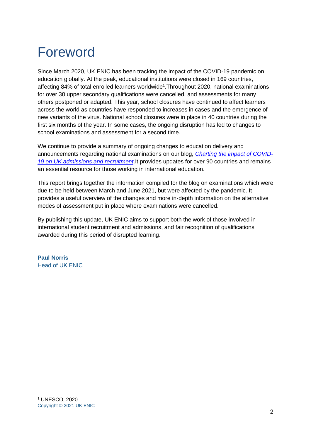# <span id="page-1-0"></span>Foreword

Since March 2020, UK ENIC has been tracking the impact of the COVID-19 pandemic on education globally. At the peak, educational institutions were closed in 169 countries, affecting 84% of total enrolled learners worldwide<sup>1</sup>. Throughout 2020, national examinations for over 30 upper secondary qualifications were cancelled, and assessments for many others postponed or adapted. This year, school closures have continued to affect learners across the world as countries have responded to increases in cases and the emergence of new variants of the virus. National school closures were in place in 40 countries during the first six months of the year. In some cases, the ongoing disruption has led to changes to school examinations and assessment for a second time.

We continue to provide a summary of ongoing changes to education delivery and announcements regarding national examinations on our blog, *[Charting the impact of COVID-](https://ecctisblog.com/2020/08/19/charting-the-impact-of-covid-19-on-uk-admissions-and-recruitment/)[19 on UK admissions and recruitment](https://ecctisblog.com/2020/08/19/charting-the-impact-of-covid-19-on-uk-admissions-and-recruitment/)*.It provides updates for over 90 countries and remains an essential resource for those working in international education.

This report brings together the information compiled for the blog on examinations which were due to be held between March and June 2021, but were affected by the pandemic. It provides a useful overview of the changes and more in-depth information on the alternative modes of assessment put in place where examinations were cancelled.

By publishing this update, UK ENIC aims to support both the work of those involved in international student recruitment and admissions, and fair recognition of qualifications awarded during this period of disrupted learning.

**Paul Norris** Head of UK ENIC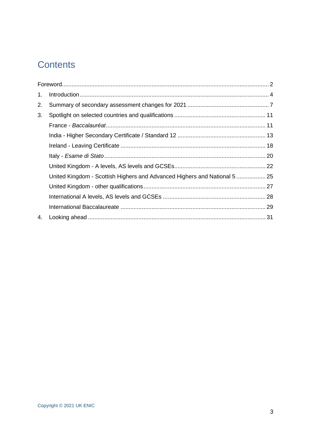### **Contents**

| 1. |                                                                           |  |
|----|---------------------------------------------------------------------------|--|
| 2. |                                                                           |  |
| 3. |                                                                           |  |
|    |                                                                           |  |
|    |                                                                           |  |
|    |                                                                           |  |
|    |                                                                           |  |
|    |                                                                           |  |
|    | United Kingdom - Scottish Highers and Advanced Highers and National 5  25 |  |
|    |                                                                           |  |
|    |                                                                           |  |
|    |                                                                           |  |
| 4. |                                                                           |  |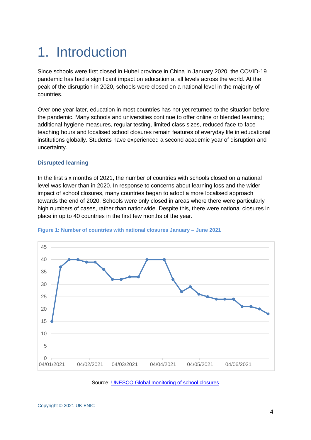## <span id="page-3-0"></span>1. Introduction

Since schools were first closed in Hubei province in China in January 2020, the COVID-19 pandemic has had a significant impact on education at all levels across the world. At the peak of the disruption in 2020, schools were closed on a national level in the majority of countries.

Over one year later, education in most countries has not yet returned to the situation before the pandemic. Many schools and universities continue to offer online or blended learning; additional hygiene measures, regular testing, limited class sizes, reduced face-to-face teaching hours and localised school closures remain features of everyday life in educational institutions globally. Students have experienced a second academic year of disruption and uncertainty.

### **Disrupted learning**

In the first six months of 2021, the number of countries with schools closed on a national level was lower than in 2020. In response to concerns about learning loss and the wider impact of school closures, many countries began to adopt a more localised approach towards the end of 2020. Schools were only closed in areas where there were particularly high numbers of cases, rather than nationwide. Despite this, there were national closures in place in up to 40 countries in the first few months of the year.



### **Figure 1: Number of countries with national closures January – June 2021**

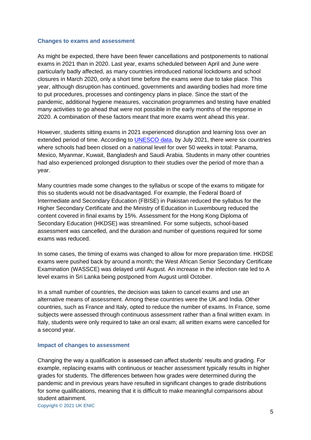### **Changes to exams and assessment**

As might be expected, there have been fewer cancellations and postponements to national exams in 2021 than in 2020. Last year, exams scheduled between April and June were particularly badly affected, as many countries introduced national lockdowns and school closures in March 2020, only a short time before the exams were due to take place. This year, although disruption has continued, governments and awarding bodies had more time to put procedures, processes and contingency plans in place. Since the start of the pandemic, additional hygiene measures, vaccination programmes and testing have enabled many activities to go ahead that were not possible in the early months of the response in 2020. A combination of these factors meant that more exams went ahead this year.

However, students sitting exams in 2021 experienced disruption and learning loss over an extended period of time. According to [UNESCO data,](https://en.unesco.org/covid19/educationresponse) by July 2021, there were six countries where schools had been closed on a national level for over 50 weeks in total: Panama, Mexico, Myanmar, Kuwait, Bangladesh and Saudi Arabia. Students in many other countries had also experienced prolonged disruption to their studies over the period of more than a year.

Many countries made some changes to the syllabus or scope of the exams to mitigate for this so students would not be disadvantaged. For example, the Federal Board of Intermediate and Secondary Education (FBISE) in Pakistan reduced the syllabus for the Higher Secondary Certificate and the Ministry of Education in Luxembourg reduced the content covered in final exams by 15%. Assessment for the Hong Kong Diploma of Secondary Education (HKDSE) was streamlined. For some subjects, school-based assessment was cancelled, and the duration and number of questions required for some exams was reduced.

In some cases, the timing of exams was changed to allow for more preparation time. HKDSE exams were pushed back by around a month; the West African Senior Secondary Certificate Examination (WASSCE) was delayed until August. An increase in the infection rate led to A level exams in Sri Lanka being postponed from August until October.

In a small number of countries, the decision was taken to cancel exams and use an alternative means of assessment. Among these countries were the UK and India. Other countries, such as France and Italy, opted to reduce the number of exams. In France, some subjects were assessed through continuous assessment rather than a final written exam. In Italy, students were only required to take an oral exam; all written exams were cancelled for a second year.

### **Impact of changes to assessment**

Changing the way a qualification is assessed can affect students' results and grading. For example, replacing exams with continuous or teacher assessment typically results in higher grades for students. The differences between how grades were determined during the pandemic and in previous years have resulted in significant changes to grade distributions for some qualifications, meaning that it is difficult to make meaningful comparisons about student attainment.

Copyright © 2021 UK ENIC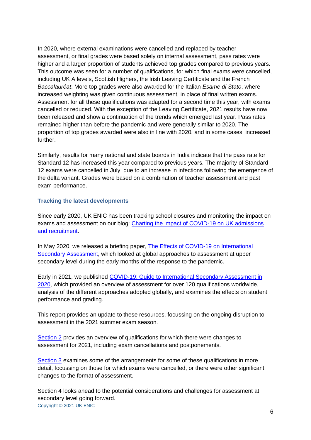In 2020, where external examinations were cancelled and replaced by teacher assessment, or final grades were based solely on internal assessment, pass rates were higher and a larger proportion of students achieved top grades compared to previous years. This outcome was seen for a number of qualifications, for which final exams were cancelled, including UK A levels, Scottish Highers, the Irish Leaving Certificate and the French *Baccalauréat*. More top grades were also awarded for the Italian *Esame di Stato*, where increased weighting was given continuous assessment, in place of final written exams. Assessment for all these qualifications was adapted for a second time this year, with exams cancelled or reduced. With the exception of the Leaving Certificate, 2021 results have now been released and show a continuation of the trends which emerged last year. Pass rates remained higher than before the pandemic and were generally similar to 2020. The proportion of top grades awarded were also in line with 2020, and in some cases, increased further.

Similarly, results for many national and state boards in India indicate that the pass rate for Standard 12 has increased this year compared to previous years. The majority of Standard 12 exams were cancelled in July, due to an increase in infections following the emergence of the delta variant. Grades were based on a combination of teacher assessment and past exam performance.

### **Tracking the latest developments**

Since early 2020, UK ENIC has been tracking school closures and monitoring the impact on exams and assessment on our blog: [Charting the impact of COVID-19 on UK admissions](https://ecctisblog.com/2020/08/19/charting-the-impact-of-covid-19-on-uk-admissions-and-recruitment/)  [and recruitment.](https://ecctisblog.com/2020/08/19/charting-the-impact-of-covid-19-on-uk-admissions-and-recruitment/)

In May 2020, we released a briefing paper, [The Effects of COVID-19 on International](https://www.ecctis.com/Documents/COVID/The%20Effects%20of%20COVID-19%20on%20International%20Secondary%20Assessment%20-%20UK%20NARIC.pdf)  [Secondary Assessment,](https://www.ecctis.com/Documents/COVID/The%20Effects%20of%20COVID-19%20on%20International%20Secondary%20Assessment%20-%20UK%20NARIC.pdf) which looked at global approaches to assessment at upper secondary level during the early months of the response to the pandemic.

Early in 2021, we published [COVID-19: Guide to International Secondary Assessment in](https://www.ecctis.com/Documents/COVID/COVID-19%20Guide%20to%20International%20Secondary%20Assessment%20in%202020_18.03.2021.pdf)  [2020,](https://www.ecctis.com/Documents/COVID/COVID-19%20Guide%20to%20International%20Secondary%20Assessment%20in%202020_18.03.2021.pdf) which provided an overview of assessment for over 120 qualifications worldwide, analysis of the different approaches adopted globally, and examines the effects on student performance and grading.

This report provides an update to these resources, focussing on the ongoing disruption to assessment in the 2021 summer exam season.

[Section 2](#page-6-0) provides an overview of qualifications for which there were changes to assessment for 2021, including exam cancellations and postponements.

[Section 3](#page-10-0) examines some of the arrangements for some of these qualifications in more detail, focussing on those for which exams were cancelled, or there were other significant changes to the format of assessment.

Copyright © 2021 UK ENIC Section 4 looks ahead to the potential considerations and challenges for assessment at secondary level going forward.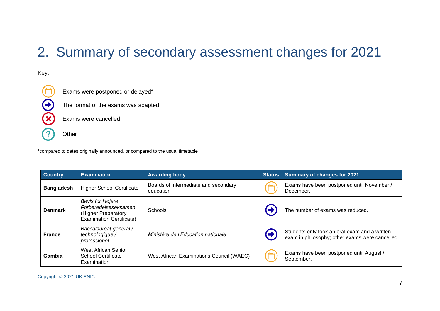## 2. Summary of secondary assessment changes for 2021

### Key:



Exams were postponed or delayed\*

The format of the exams was adapted

Exams were cancelled

**Other** 

\*compared to dates originally announced, or compared to the usual timetable

<span id="page-6-0"></span>

| <b>Country</b>    | <b>Examination</b>                                                                                 | <b>Awarding body</b>                              | <b>Status</b> | <b>Summary of changes for 2021</b>                                                               |
|-------------------|----------------------------------------------------------------------------------------------------|---------------------------------------------------|---------------|--------------------------------------------------------------------------------------------------|
| <b>Bangladesh</b> | <b>Higher School Certificate</b>                                                                   | Boards of intermediate and secondary<br>education |               | Exams have been postponed until November /<br>December.                                          |
| <b>Denmark</b>    | Bevis for Højere<br>Forberedelseseksamen<br>(Higher Preparatory<br><b>Examination Certificate)</b> | Schools                                           |               | The number of exams was reduced.                                                                 |
| <b>France</b>     | Baccalauréat general /<br>technologique /<br>professionel                                          | Ministère de l'Éducation nationale                | Ð             | Students only took an oral exam and a written<br>exam in philosophy; other exams were cancelled. |
| Gambia            | <b>West African Senior</b><br>School Certificate<br>Examination                                    | West African Examinations Council (WAEC)          |               | Exams have been postponed until August /<br>September.                                           |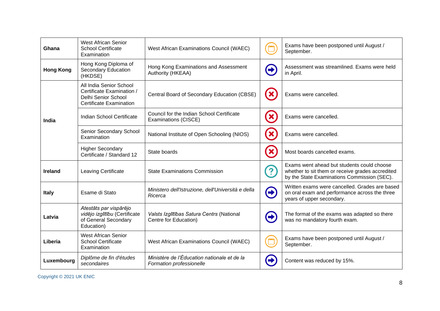| Ghana                                                                                                                                                                         | <b>West African Senior</b><br><b>School Certificate</b><br>West African Examinations Council (WAEC)<br>Examination |                                                                         |                                                                               | Exams have been postponed until August /<br>September.                                                                                        |
|-------------------------------------------------------------------------------------------------------------------------------------------------------------------------------|--------------------------------------------------------------------------------------------------------------------|-------------------------------------------------------------------------|-------------------------------------------------------------------------------|-----------------------------------------------------------------------------------------------------------------------------------------------|
| Hong Kong Diploma of<br>Hong Kong Examinations and Assessment<br>Secondary Education<br><b>Hong Kong</b><br>Authority (HKEAA)<br>(HKDSE)                                      |                                                                                                                    | 8                                                                       | Assessment was streamlined. Exams were held<br>in April.                      |                                                                                                                                               |
|                                                                                                                                                                               | All India Senior School<br>Certificate Examination /<br>Delhi Senior School<br><b>Certificate Examination</b>      | Central Board of Secondary Education (CBSE)                             | $\mathbf{x}$                                                                  | Exams were cancelled.                                                                                                                         |
| India                                                                                                                                                                         | Indian School Certificate                                                                                          | Council for the Indian School Certificate<br>Examinations (CISCE)       | $\boldsymbol{\mathcal{X}}$                                                    | Exams were cancelled.                                                                                                                         |
|                                                                                                                                                                               | Senior Secondary School<br>Examination                                                                             | National Institute of Open Schooling (NIOS)                             | $\boldsymbol{\mathcal{X}}$                                                    | Exams were cancelled.                                                                                                                         |
|                                                                                                                                                                               | <b>Higher Secondary</b><br>Certificate / Standard 12                                                               | State boards                                                            | 83                                                                            | Most boards cancelled exams.                                                                                                                  |
| <b>Ireland</b>                                                                                                                                                                | Leaving Certificate                                                                                                | <b>State Examinations Commission</b>                                    | 2                                                                             | Exams went ahead but students could choose<br>whether to sit them or receive grades accredited<br>by the State Examinations Commission (SEC). |
| <b>Italy</b>                                                                                                                                                                  | Ministero dell'Istruzione, dell'Università e della<br>Esame di Stato<br>Ricerca                                    |                                                                         | $\left( \rightarrow \right)$                                                  | Written exams were cancelled. Grades are based<br>on oral exam and performance across the three<br>years of upper secondary.                  |
| Atestāts par vispārējo<br>vidējo izglītību (Certificate<br>Valsts Izglītības Satura Centrs (National<br>Latvia<br>of General Secondary<br>Centre for Education)<br>Education) |                                                                                                                    | Ð                                                                       | The format of the exams was adapted so there<br>was no mandatory fourth exam. |                                                                                                                                               |
| Liberia                                                                                                                                                                       | <b>West African Senior</b><br><b>School Certificate</b><br>West African Examinations Council (WAEC)<br>Examination |                                                                         |                                                                               | Exams have been postponed until August /<br>September.                                                                                        |
| Luxembourg                                                                                                                                                                    | Diplôme de fin d'études<br>secondaires                                                                             | Ministère de l'Éducation nationale et de la<br>Formation professionelle |                                                                               | Content was reduced by 15%.                                                                                                                   |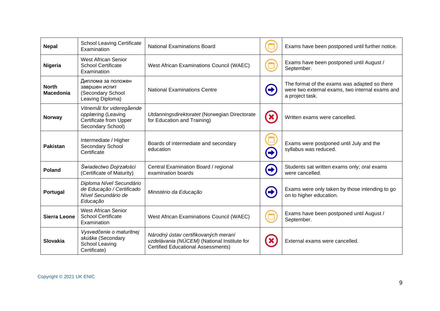| <b>Nepal</b>                     | <b>School Leaving Certificate</b><br>Examination                                               | <b>National Examinations Board</b>                                                                                               |                            | Exams have been postponed until further notice.                                                                    |
|----------------------------------|------------------------------------------------------------------------------------------------|----------------------------------------------------------------------------------------------------------------------------------|----------------------------|--------------------------------------------------------------------------------------------------------------------|
| Nigeria                          | <b>West African Senior</b><br><b>School Certificate</b><br>Examination                         | West African Examinations Council (WAEC)                                                                                         |                            | Exams have been postponed until August /<br>September.                                                             |
| <b>North</b><br><b>Macedonia</b> | Диплома за положен<br>завршен испит<br>(Secondary School<br>Leaving Diploma)                   | National Examinations Centre                                                                                                     | Ð                          | The format of the exams was adapted so there<br>were two external exams, two internal exams and<br>a project task. |
| <b>Norway</b>                    | Vitnemål for videregående<br>opplæring (Leaving<br>Certificate from Upper<br>Secondary School) | Utdanningsdirektoratet (Norwegian Directorate<br>for Education and Training)                                                     | $\boldsymbol{\mathcal{X}}$ | Written exams were cancelled.                                                                                      |
| <b>Pakistan</b>                  | Intermediate / Higher<br>Secondary School<br>Certificate                                       | Boards of intermediate and secondary<br>education                                                                                | 5                          | Exams were postponed until July and the<br>syllabus was reduced.                                                   |
| <b>Poland</b>                    | Świadectwo Dojrzałości<br>(Certificate of Maturity)                                            | Central Examination Board / regional<br>examination boards                                                                       | C                          | Students sat written exams only; oral exams<br>were cancelled.                                                     |
| Portugal                         | Diploma Nível Secundário<br>de Educação / Certificado<br>Nível Secundário de<br>Educação       | Ministério da Educação                                                                                                           | $\rightarrow$              | Exams were only taken by those intending to go<br>on to higher education.                                          |
| <b>Sierra Leone</b>              | <b>West African Senior</b><br><b>School Certificate</b><br>Examination                         | West African Examinations Council (WAEC)                                                                                         |                            | Exams have been postponed until August /<br>September.                                                             |
| Slovakia                         | Vysvedčenie o maturitnej<br>skúške (Secondary<br>School Leaving<br>Certificate)                | Národný ústav certifikovaných meraní<br>vzdelávania (NÚCEM) (National Institute for<br><b>Certified Educational Assessments)</b> |                            | External exams were cancelled.                                                                                     |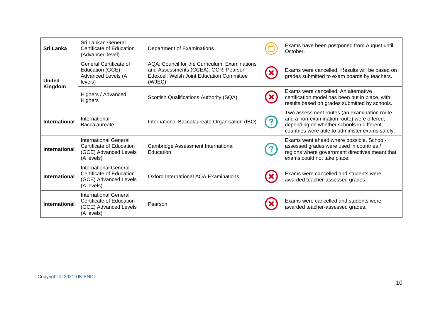| Sri Lanka                                                                                                | Sri Lankan General<br>Certificate of Education<br>(Advanced level)                              | Department of Examinations                                                                                                                  |                                                                                                                                                                                           | Exams have been postponed from August until<br>October.                                                                                                               |
|----------------------------------------------------------------------------------------------------------|-------------------------------------------------------------------------------------------------|---------------------------------------------------------------------------------------------------------------------------------------------|-------------------------------------------------------------------------------------------------------------------------------------------------------------------------------------------|-----------------------------------------------------------------------------------------------------------------------------------------------------------------------|
| <b>United</b>                                                                                            | General Certificate of<br>Education (GCE)<br>Advanced Levels (A<br>levels)                      | AQA; Council for the Curriculum, Examinations<br>and Assessments (CCEA): OCR; Pearson<br>Edexcel; Welsh Joint Education Committee<br>(WJEC) |                                                                                                                                                                                           | Exams were cancelled. Results will be based on<br>grades submitted to exam boards by teachers.                                                                        |
| Kingdom                                                                                                  | Highers / Advanced<br>Highers                                                                   | Scottish Qualifications Authority (SQA)                                                                                                     | $\mathbf{x}$                                                                                                                                                                              | Exams were cancelled. An alternative<br>certification model has been put in place, with<br>results based on grades submitted by schools.                              |
| International<br>International<br>International Baccalaureate Organisation (IBO)<br><b>Baccalaureate</b> |                                                                                                 |                                                                                                                                             | Two assessment routes (an examination route<br>and a non-examination route) were offered,<br>depending on whether schools in different<br>countries were able to administer exams safely. |                                                                                                                                                                       |
| <b>International</b>                                                                                     | International General<br>Certificate of Education<br>(GCE) Advanced Levels<br>(A levels)        | Cambridge Assessment International<br>Education                                                                                             |                                                                                                                                                                                           | Exams went ahead where possible. School-<br>assessed grades were used in countries /<br>regions where government directives meant that<br>exams could not take place. |
| <b>International</b>                                                                                     | International General<br>Certificate of Education<br>(GCE) Advanced Levels<br>(A levels)        | Oxford International AQA Examinations                                                                                                       |                                                                                                                                                                                           | Exams were cancelled and students were<br>awarded teacher-assessed grades.                                                                                            |
| <b>International</b>                                                                                     | <b>International General</b><br>Certificate of Education<br>(GCE) Advanced Levels<br>(A levels) | Pearson                                                                                                                                     |                                                                                                                                                                                           | Exams were cancelled and students were<br>awarded teacher-assessed grades.                                                                                            |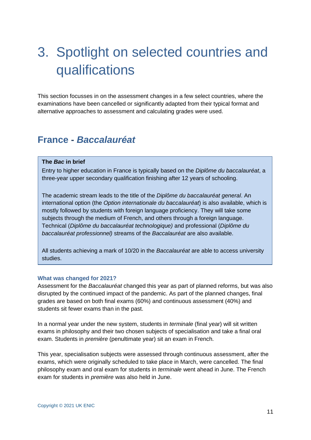# <span id="page-10-0"></span>3. Spotlight on selected countries and qualifications

This section focusses in on the assessment changes in a few select countries, where the examinations have been cancelled or significantly adapted from their typical format and alternative approaches to assessment and calculating grades were used.

### <span id="page-10-1"></span>**France -** *Baccalauréat*

### **The** *Bac* **in brief**

Entry to higher education in France is typically based on the *Diplôme du baccalauréat*, a three-year upper secondary qualification finishing after 12 years of schooling.

The academic stream leads to the title of the *Diplôme du baccalauréat general*. An international option (the *Option internationale du baccalauréat*) is also available, which is mostly followed by students with foreign language proficiency. They will take some subjects through the medium of French, and others through a foreign language. Technical (*Diplôme du baccalauréat technologique)* and professional (*Diplôme du baccalauréat professionnel)* streams of the *Baccalauréat* are also available.

All students achieving a mark of 10/20 in the *Baccalauréat* are able to access university studies.

#### **What was changed for 2021?**

Assessment for the *Baccalauréat* changed this year as part of planned reforms, but was also disrupted by the continued impact of the pandemic. As part of the planned changes, final grades are based on both final exams (60%) and continuous assessment (40%) and students sit fewer exams than in the past.

In a normal year under the new system, students in *terminale* (final year) will sit written exams in philosophy and their two chosen subjects of specialisation and take a final oral exam. Students in *première* (penultimate year) sit an exam in French.

This year, specialisation subjects were assessed through continuous assessment, after the exams, which were originally scheduled to take place in March, were cancelled. The final philosophy exam and oral exam for students in *terminale* went ahead in June. The French exam for students in *première* was also held in June.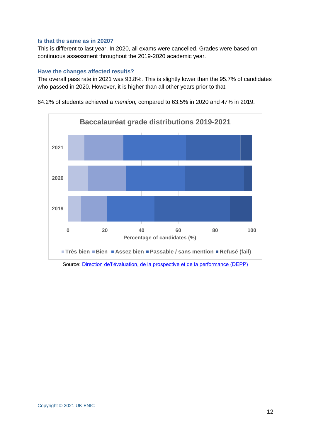### **Is that the same as in 2020?**

This is different to last year. In 2020, all exams were cancelled. Grades were based on continuous assessment throughout the 2019-2020 academic year.

### **Have the changes affected results?**

The overall pass rate in 2021 was 93.8%. This is slightly lower than the 95.7% of candidates who passed in 2020. However, it is higher than all other years prior to that.



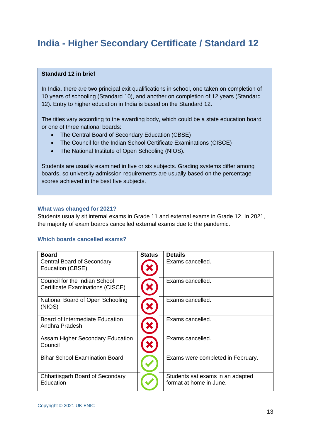### <span id="page-12-0"></span>**India - Higher Secondary Certificate / Standard 12**

### **Standard 12 in brief**

In India, there are two principal exit qualifications in school, one taken on completion of 10 years of schooling (Standard 10), and another on completion of 12 years (Standard 12). Entry to higher education in India is based on the Standard 12.

The titles vary according to the awarding body, which could be a state education board or one of three national boards:

- The Central Board of Secondary Education (CBSE)
- The Council for the Indian School Certificate Examinations (CISCE)
- The National Institute of Open Schooling (NIOS).

Students are usually examined in five or six subjects. Grading systems differ among boards, so university admission requirements are usually based on the percentage scores achieved in the best five subjects.

### **What was changed for 2021?**

Students usually sit internal exams in Grade 11 and external exams in Grade 12. In 2021, the majority of exam boards cancelled external exams due to the pandemic.

### **Which boards cancelled exams?**

| <b>Board</b>                                                      | <b>Status</b> | <b>Details</b>                                              |
|-------------------------------------------------------------------|---------------|-------------------------------------------------------------|
| Central Board of Secondary<br>Education (CBSE)                    |               | Exams cancelled.                                            |
| Council for the Indian School<br>Certificate Examinations (CISCE) |               | Exams cancelled.                                            |
| National Board of Open Schooling<br>(NIOS)                        |               | Exams cancelled.                                            |
| Board of Intermediate Education<br>Andhra Pradesh                 |               | Exams cancelled.                                            |
| Assam Higher Secondary Education<br>Council                       |               | Exams cancelled.                                            |
| <b>Bihar School Examination Board</b>                             |               | Exams were completed in February.                           |
| Chhattisgarh Board of Secondary<br>Education                      |               | Students sat exams in an adapted<br>format at home in June. |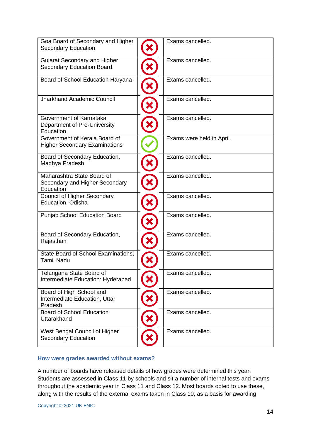| Goa Board of Secondary and Higher<br><b>Secondary Education</b>           | Exams cancelled.          |
|---------------------------------------------------------------------------|---------------------------|
| <b>Gujarat Secondary and Higher</b><br><b>Secondary Education Board</b>   | Exams cancelled.          |
| Board of School Education Haryana                                         | Exams cancelled.          |
| <b>Jharkhand Academic Council</b>                                         | Exams cancelled.          |
| Government of Karnataka<br>Department of Pre-University<br>Education      | Exams cancelled.          |
| Government of Kerala Board of<br><b>Higher Secondary Examinations</b>     | Exams were held in April. |
| Board of Secondary Education,<br>Madhya Pradesh                           | Exams cancelled.          |
| Maharashtra State Board of<br>Secondary and Higher Secondary<br>Education | Exams cancelled.          |
| <b>Council of Higher Secondary</b><br>Education, Odisha                   | Exams cancelled.          |
| Punjab School Education Board                                             | Exams cancelled.          |
| Board of Secondary Education,<br>Rajasthan                                | Exams cancelled.          |
| State Board of School Examinations,<br><b>Tamil Nadu</b>                  | Exams cancelled.          |
| Telangana State Board of<br>Intermediate Education: Hyderabad             | Exams cancelled.          |
| Board of High School and<br>Intermediate Education, Uttar<br>Pradesh      | Exams cancelled.          |
| <b>Board of School Education</b><br>Uttarakhand                           | Exams cancelled.          |
| West Bengal Council of Higher<br><b>Secondary Education</b>               | Exams cancelled.          |

### **How were grades awarded without exams?**

A number of boards have released details of how grades were determined this year. Students are assessed in Class 11 by schools and sit a number of internal tests and exams throughout the academic year in Class 11 and Class 12. Most boards opted to use these, along with the results of the external exams taken in Class 10, as a basis for awarding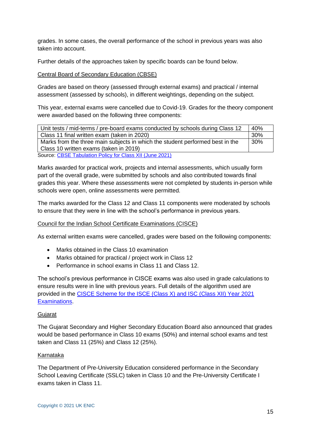grades. In some cases, the overall performance of the school in previous years was also taken into account.

Further details of the approaches taken by specific boards can be found below.

### Central Board of Secondary Education (CBSE)

Grades are based on theory (assessed through external exams) and practical / internal assessment (assessed by schools), in different weightings, depending on the subject.

This year, external exams were cancelled due to Covid-19. Grades for the theory component were awarded based on the following three components:

| Unit tests / mid-terms / pre-board exams conducted by schools during Class 12 | 40% |
|-------------------------------------------------------------------------------|-----|
| Class 11 final written exam (taken in 2020)                                   | 30% |
| Marks from the three main subjects in which the student performed best in the | 30% |
| Class 10 written exams (taken in 2019)                                        |     |
| Source: CRSE Tabulation Policy for Class YII (June 2021)                      |     |

Source: [CBSE Tabulation Policy for Class XII \(June 2021\)](https://www.cbse.gov.in/cbsenew/documents/Tabulation%20Policy%20Class%20XII%202021.pdf)

Marks awarded for practical work, projects and internal assessments, which usually form part of the overall grade, were submitted by schools and also contributed towards final grades this year. Where these assessments were not completed by students in-person while schools were open, online assessments were permitted.

The marks awarded for the Class 12 and Class 11 components were moderated by schools to ensure that they were in line with the school's performance in previous years.

### Council for the Indian School Certificate Examinations (CISCE)

As external written exams were cancelled, grades were based on the following components:

- Marks obtained in the Class 10 examination
- Marks obtained for practical / project work in Class 12
- Performance in school exams in Class 11 and Class 12.

The school's previous performance in CISCE exams was also used in grade calculations to ensure results were in line with previous years. Full details of the algorithm used are provided in the [CISCE Scheme for the ISCE \(Class X\) and ISC \(Class XII\) Year 2021](https://cisce.org/UploadedFiles/PDF/CISCE%20SCHEME%20ICSE%20and%20ISC.pdf)  [Examinations.](https://cisce.org/UploadedFiles/PDF/CISCE%20SCHEME%20ICSE%20and%20ISC.pdf)

### **Gujarat**

The Gujarat Secondary and Higher Secondary Education Board also announced that grades would be based performance in Class 10 exams (50%) and internal school exams and test taken and Class 11 (25%) and Class 12 (25%).

### Karnataka

The Department of Pre-University Education considered performance in the Secondary School Leaving Certificate (SSLC) taken in Class 10 and the Pre-University Certificate I exams taken in Class 11.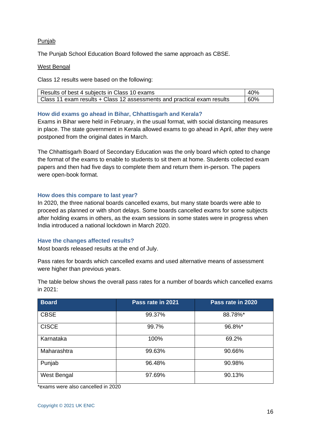### Punjab

The Punjab School Education Board followed the same approach as CBSE.

### West Bengal

Class 12 results were based on the following:

| Results of best 4 subjects in Class 10 exams                            | 40% |
|-------------------------------------------------------------------------|-----|
| Class 11 exam results + Class 12 assessments and practical exam results | 60% |

### **How did exams go ahead in Bihar, Chhattisgarh and Kerala?**

Exams in Bihar were held in February, in the usual format, with social distancing measures in place. The state government in Kerala allowed exams to go ahead in April, after they were postponed from the original dates in March.

The Chhattisgarh Board of Secondary Education was the only board which opted to change the format of the exams to enable to students to sit them at home. Students collected exam papers and then had five days to complete them and return them in-person. The papers were open-book format.

### **How does this compare to last year?**

In 2020, the three national boards cancelled exams, but many state boards were able to proceed as planned or with short delays. Some boards cancelled exams for some subjects after holding exams in others, as the exam sessions in some states were in progress when India introduced a national lockdown in March 2020.

### **Have the changes affected results?**

Most boards released results at the end of July.

Pass rates for boards which cancelled exams and used alternative means of assessment were higher than previous years.

The table below shows the overall pass rates for a number of boards which cancelled exams in 2021:

| <b>Board</b> | Pass rate in 2021 | Pass rate in 2020 |
|--------------|-------------------|-------------------|
| <b>CBSE</b>  | 99.37%            | 88.78%*           |
| <b>CISCE</b> | 99.7%             | 96.8%*            |
| Karnataka    | 100%              | 69.2%             |
| Maharashtra  | 99.63%            | 90.66%            |
| Punjab       | 96.48%            | 90.98%            |
| West Bengal  | 97.69%            | 90.13%            |

\*exams were also cancelled in 2020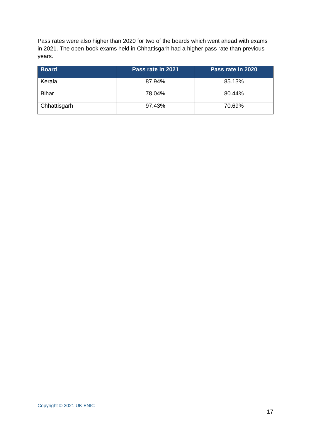Pass rates were also higher than 2020 for two of the boards which went ahead with exams in 2021. The open-book exams held in Chhattisgarh had a higher pass rate than previous years.

| <b>Board</b> | Pass rate in 2021 | Pass rate in 2020 |
|--------------|-------------------|-------------------|
| Kerala       | 87.94%            | 85.13%            |
| <b>Bihar</b> | 78.04%            | 80.44%            |
| Chhattisgarh | 97.43%            | 70.69%            |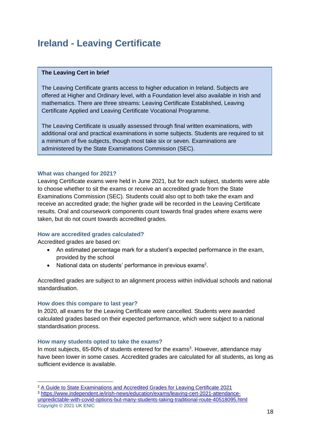### <span id="page-17-0"></span>**Ireland - Leaving Certificate**

### **The Leaving Cert in brief**

The Leaving Certificate grants access to higher education in Ireland. Subjects are offered at Higher and Ordinary level, with a Foundation level also available in Irish and mathematics. There are three streams: Leaving Certificate Established, Leaving Certificate Applied and Leaving Certificate Vocational Programme.

The Leaving Certificate is usually assessed through final written examinations, with additional oral and practical examinations in some subjects. Students are required to sit a minimum of five subjects, though most take six or seven. Examinations are administered by the State Examinations Commission (SEC).

### **What was changed for 2021?**

Leaving Certificate exams were held in June 2021, but for each subject, students were able to choose whether to sit the exams or receive an accredited grade from the State Examinations Commission (SEC). Students could also opt to both take the exam and receive an accredited grade; the higher grade will be recorded in the Leaving Certificate results. Oral and coursework components count towards final grades where exams were taken, but do not count towards accredited grades.

### **How are accredited grades calculated?**

Accredited grades are based on:

- An estimated percentage mark for a student's expected performance in the exam, provided by the school
- National data on students' performance in previous exams<sup>2</sup>.

Accredited grades are subject to an alignment process within individual schools and national standardisation.

### **How does this compare to last year?**

In 2020, all exams for the Leaving Certificate were cancelled. Students were awarded calculated grades based on their expected performance, which were subject to a national standardisation process.

### **How many students opted to take the exams?**

In most subjects, 65-80% of students entered for the exams<sup>3</sup>. However, attendance may have been lower in some cases. Accredited grades are calculated for all students, as long as sufficient evidence is available.

Copyright © 2021 UK ENIC <sup>2</sup> [A Guide to State Examinations and Accredited Grades for Leaving Certificate 2021](https://www.gov.ie/en/publication/81e76-a-guide-to-state-examinations-and-accredited-grades-for-leaving-certificate-2021/) <sup>3</sup> [https://www.independent.ie/irish-news/education/exams/leaving-cert-2021-attendance](https://www.independent.ie/irish-news/education/exams/leaving-cert-2021-attendance-unpredictable-with-covid-options-but-many-students-taking-traditional-route-40518095.html)[unpredictable-with-covid-options-but-many-students-taking-traditional-route-40518095.html](https://www.independent.ie/irish-news/education/exams/leaving-cert-2021-attendance-unpredictable-with-covid-options-but-many-students-taking-traditional-route-40518095.html)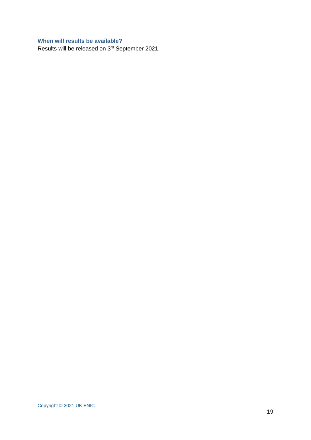### **When will results be available?**

Results will be released on 3rd September 2021.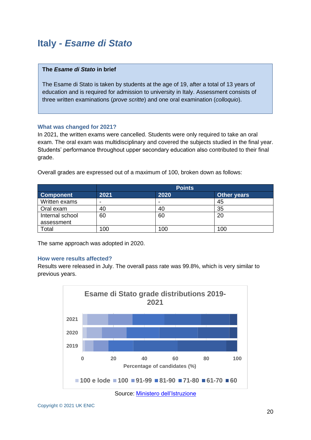### <span id="page-19-0"></span>**Italy -** *Esame di Stato*

### **The** *Esame di Stato* **in brief**

The Esame di Stato is taken by students at the age of 19, after a total of 13 years of education and is required for admission to university in Italy. Assessment consists of three written examinations (*prove scritte*) and one oral examination (*colloquio*).

### **What was changed for 2021?**

In 2021, the written exams were cancelled. Students were only required to take an oral exam. The oral exam was multidisciplinary and covered the subjects studied in the final year. Students' performance throughout upper secondary education also contributed to their final grade.

|                  | <b>Points</b> |      |                    |  |
|------------------|---------------|------|--------------------|--|
| <b>Component</b> | 2021          | 2020 | <b>Other years</b> |  |
| Written exams    | -             | $\,$ | 45                 |  |
| Oral exam        | 40            | 40   | 35                 |  |
| Internal school  | 60            | 60   | 20                 |  |
| assessment       |               |      |                    |  |
| Total            | 100           | 100  | 100                |  |

Overall grades are expressed out of a maximum of 100, broken down as follows:

The same approach was adopted in 2020.

### **How were results affected?**

Results were released in July. The overall pass rate was 99.8%, which is very similar to previous years.



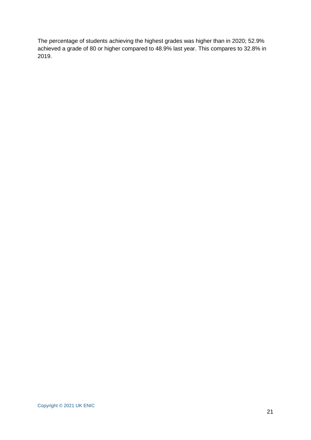The percentage of students achieving the highest grades was higher than in 2020; 52.9% achieved a grade of 80 or higher compared to 48.9% last year. This compares to 32.8% in 2019.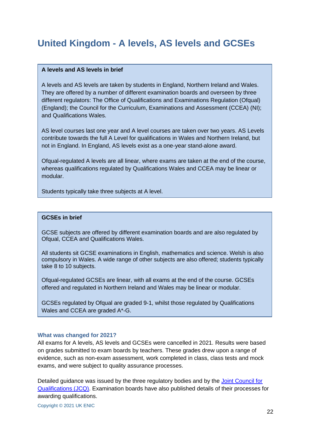### <span id="page-21-0"></span>**United Kingdom - A levels, AS levels and GCSEs**

### **A levels and AS levels in brief**

A levels and AS levels are taken by students in England, Northern Ireland and Wales. They are offered by a number of different examination boards and overseen by three different regulators: The Office of Qualifications and Examinations Regulation (Ofqual) (England); the Council for the Curriculum, Examinations and Assessment (CCEA) (NI); and Qualifications Wales.

AS level courses last one year and A level courses are taken over two years. AS Levels contribute towards the full A Level for qualifications in Wales and Northern Ireland, but not in England. In England, AS levels exist as a one-year stand-alone award.

Ofqual-regulated A levels are all linear, where exams are taken at the end of the course, whereas qualifications regulated by Qualifications Wales and CCEA may be linear or modular.

Students typically take three subjects at A level.

### **GCSEs in brief**

GCSE subjects are offered by different examination boards and are also regulated by Ofqual, CCEA and Qualifications Wales.

All students sit GCSE examinations in English, mathematics and science. Welsh is also compulsory in Wales. A wide range of other subjects are also offered; students typically take 8 to 10 subjects.

Ofqual-regulated GCSEs are linear, with all exams at the end of the course. GCSEs offered and regulated in Northern Ireland and Wales may be linear or modular.

GCSEs regulated by Ofqual are graded 9-1, whilst those regulated by Qualifications Wales and CCEA are graded A\*-G.

### **What was changed for 2021?**

All exams for A levels, AS levels and GCSEs were cancelled in 2021. Results were based on grades submitted to exam boards by teachers. These grades drew upon a range of evidence, such as non-exam assessment, work completed in class, class tests and mock exams, and were subject to quality assurance processes.

Detailed guidance was issued by the three regulatory bodies and by the Joint Council for [Qualifications \(JCQ\).](https://www.jcq.org.uk/summer-2021-arrangements/) Examination boards have also published details of their processes for awarding qualifications.

Copyright © 2021 UK ENIC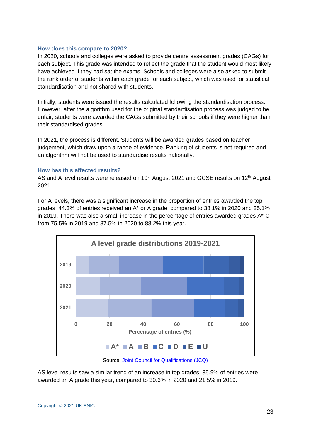### **How does this compare to 2020?**

In 2020, schools and colleges were asked to provide centre assessment grades (CAGs) for each subject. This grade was intended to reflect the grade that the student would most likely have achieved if they had sat the exams. Schools and colleges were also asked to submit the rank order of students within each grade for each subject, which was used for statistical standardisation and not shared with students.

Initially, students were issued the results calculated following the standardisation process. However, after the algorithm used for the original standardisation process was judged to be unfair, students were awarded the CAGs submitted by their schools if they were higher than their standardised grades.

In 2021, the process is different. Students will be awarded grades based on teacher judgement, which draw upon a range of evidence. Ranking of students is not required and an algorithm will not be used to standardise results nationally.

### **How has this affected results?**

AS and A level results were released on 10<sup>th</sup> August 2021 and GCSE results on 12<sup>th</sup> August 2021.

For A levels, there was a significant increase in the proportion of entries awarded the top grades. 44.3% of entries received an A\* or A grade, compared to 38.1% in 2020 and 25.1% in 2019. There was also a small increase in the percentage of entries awarded grades A\*-C from 75.5% in 2019 and 87.5% in 2020 to 88.2% this year.



Source: [Joint Council for Qualifications \(JCQ\)](https://www.jcq.org.uk/examination-results/?post-year=&post-location=)

AS level results saw a similar trend of an increase in top grades: 35.9% of entries were awarded an A grade this year, compared to 30.6% in 2020 and 21.5% in 2019.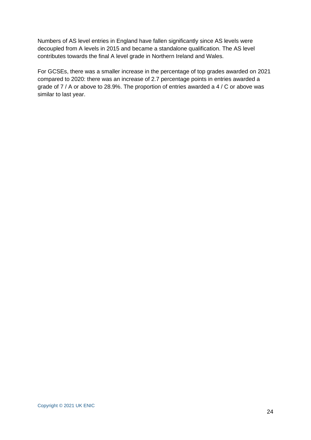Numbers of AS level entries in England have fallen significantly since AS levels were decoupled from A levels in 2015 and became a standalone qualification. The AS level contributes towards the final A level grade in Northern Ireland and Wales.

For GCSEs, there was a smaller increase in the percentage of top grades awarded on 2021 compared to 2020: there was an increase of 2.7 percentage points in entries awarded a grade of 7 / A or above to 28.9%. The proportion of entries awarded a 4 / C or above was similar to last year.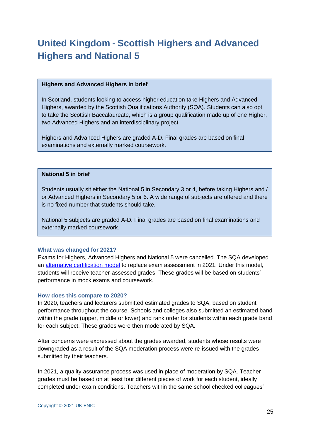### <span id="page-24-0"></span>**United Kingdom - Scottish Highers and Advanced Highers and National 5**

### **Highers and Advanced Highers in brief**

In Scotland, students looking to access higher education take Highers and Advanced Highers, awarded by the Scottish Qualifications Authority (SQA). Students can also opt to take the Scottish Baccalaureate, which is a group qualification made up of one Higher, two Advanced Highers and an interdisciplinary project.

Highers and Advanced Highers are graded A-D. Final grades are based on final examinations and externally marked coursework.

### **National 5 in brief**

Students usually sit either the National 5 in Secondary 3 or 4, before taking Highers and / or Advanced Highers in Secondary 5 or 6. A wide range of subjects are offered and there is no fixed number that students should take.

National 5 subjects are graded A-D. Final grades are based on final examinations and externally marked coursework.

### **What was changed for 2021?**

Exams for Highers, Advanced Highers and National 5 were cancelled. The SQA developed an [alternative certification model](https://www.sqa.org.uk/sqa/96760.html) to replace exam assessment in 2021. Under this model, students will receive teacher-assessed grades. These grades will be based on students' performance in mock exams and coursework.

### **How does this compare to 2020?**

In 2020, teachers and lecturers submitted estimated grades to SQA, based on student performance throughout the course. Schools and colleges also submitted an estimated band within the grade (upper, middle or lower) and rank order for students within each grade band for each subject. These grades were then moderated by SQA**.**

After concerns were expressed about the grades awarded, students whose results were downgraded as a result of the SQA moderation process were re-issued with the grades submitted by their teachers.

In 2021, a quality assurance process was used in place of moderation by SQA. Teacher grades must be based on at least four different pieces of work for each student, ideally completed under exam conditions. Teachers within the same school checked colleagues'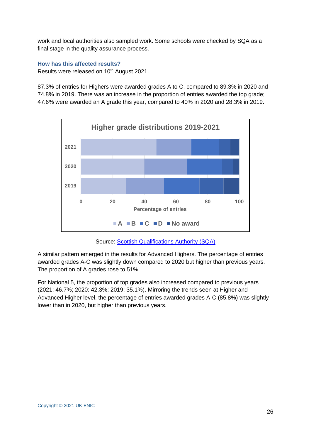work and local authorities also sampled work. Some schools were checked by SQA as a final stage in the quality assurance process.

**How has this affected results?** Results were released on 10<sup>th</sup> August 2021.

87.3% of entries for Highers were awarded grades A to C, compared to 89.3% in 2020 and 74.8% in 2019. There was an increase in the proportion of entries awarded the top grade; 47.6% were awarded an A grade this year, compared to 40% in 2020 and 28.3% in 2019.



Source: [Scottish Qualifications Authority \(SQA\)](https://www.sqa.org.uk/sqa/98566.html)

A similar pattern emerged in the results for Advanced Highers. The percentage of entries awarded grades A-C was slightly down compared to 2020 but higher than previous years. The proportion of A grades rose to 51%.

For National 5, the proportion of top grades also increased compared to previous years (2021: 46.7%; 2020: 42.3%; 2019: 35.1%). Mirroring the trends seen at Higher and Advanced Higher level, the percentage of entries awarded grades A-C (85.8%) was slightly lower than in 2020, but higher than previous years.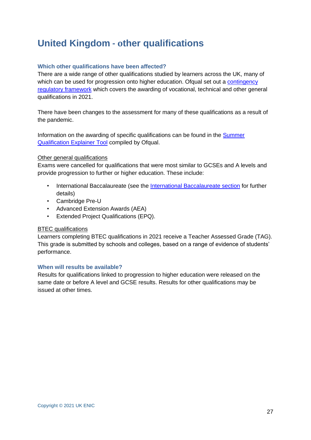### <span id="page-26-0"></span>**United Kingdom - other qualifications**

### **Which other qualifications have been affected?**

There are a wide range of other qualifications studied by learners across the UK, many of which can be used for progression onto higher education. Of qual set out a contingency [regulatory framework](https://www.gov.uk/government/publications/vocational-and-technical-qualifications-contingency-regulatory-framework) which covers the awarding of vocational, technical and other general qualifications in 2021.

There have been changes to the assessment for many of these qualifications as a result of the pandemic.

Information on the awarding of specific qualifications can be found in the [Summer](https://analytics.ofqual.gov.uk/apps/AllQualifications/summer2021tool/)  [Qualification Explainer Tool](https://analytics.ofqual.gov.uk/apps/AllQualifications/summer2021tool/) compiled by Ofqual.

### Other general qualifications

Exams were cancelled for qualifications that were most similar to GCSEs and A levels and provide progression to further or higher education. These include:

- International Baccalaureate (see the [International Baccalaureate section](#page-27-1) for further details)
- Cambridge Pre-U
- Advanced Extension Awards (AEA)
- Extended Project Qualifications (EPQ).

### BTEC qualifications

Learners completing BTEC qualifications in 2021 receive a Teacher Assessed Grade (TAG). This grade is submitted by schools and colleges, based on a range of evidence of students' performance.

### **When will results be available?**

Results for qualifications linked to progression to higher education were released on the same date or before A level and GCSE results. Results for other qualifications may be issued at other times.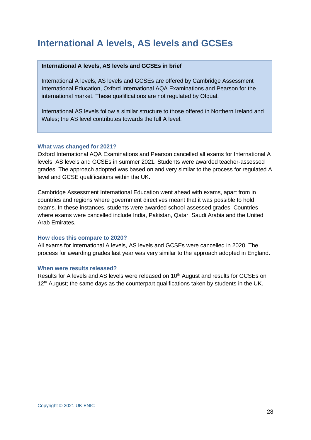### <span id="page-27-0"></span>**International A levels, AS levels and GCSEs**

### **International A levels, AS levels and GCSEs in brief**

International A levels, AS levels and GCSEs are offered by Cambridge Assessment International Education, Oxford International AQA Examinations and Pearson for the international market. These qualifications are not regulated by Ofqual.

International AS levels follow a similar structure to those offered in Northern Ireland and Wales; the AS level contributes towards the full A level.

### **What was changed for 2021?**

Oxford International AQA Examinations and Pearson cancelled all exams for International A levels, AS levels and GCSEs in summer 2021. Students were awarded teacher-assessed grades. The approach adopted was based on and very similar to the process for regulated A level and GCSE qualifications within the UK.

Cambridge Assessment International Education went ahead with exams, apart from in countries and regions where government directives meant that it was possible to hold exams. In these instances, students were awarded school-assessed grades. Countries where exams were cancelled include India, Pakistan, Qatar, Saudi Arabia and the United Arab Emirates.

### **How does this compare to 2020?**

All exams for International A levels, AS levels and GCSEs were cancelled in 2020. The process for awarding grades last year was very similar to the approach adopted in England.

### **When were results released?**

<span id="page-27-1"></span>Results for A levels and AS levels were released on 10<sup>th</sup> August and results for GCSEs on 12<sup>th</sup> August; the same days as the counterpart qualifications taken by students in the UK.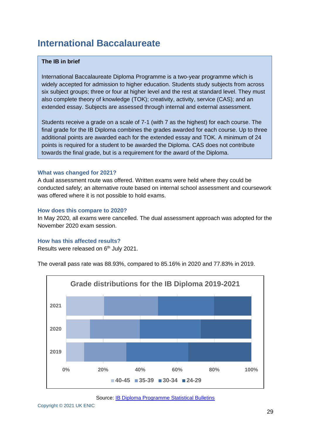### <span id="page-28-0"></span>**International Baccalaureate**

### **The IB in brief**

International Baccalaureate Diploma Programme is a two-year programme which is widely accepted for admission to higher education. Students study subjects from across six subject groups; three or four at higher level and the rest at standard level. They must also complete theory of knowledge (TOK); creativity, activity, service (CAS); and an extended essay. Subjects are assessed through internal and external assessment.

Students receive a grade on a scale of 7-1 (with 7 as the highest) for each course. The final grade for the IB Diploma combines the grades awarded for each course. Up to three additional points are awarded each for the extended essay and TOK. A minimum of 24 points is required for a student to be awarded the Diploma. CAS does not contribute towards the final grade, but is a requirement for the award of the Diploma.

### **What was changed for 2021?**

A dual assessment route was offered. Written exams were held where they could be conducted safely; an alternative route based on internal school assessment and coursework was offered where it is not possible to hold exams.

### **How does this compare to 2020?**

In May 2020, all exams were cancelled. The dual assessment approach was adopted for the November 2020 exam session.

### **How has this affected results?**

Results were released on 6<sup>th</sup> July 2021.

The overall pass rate was 88.93%, compared to 85.16% in 2020 and 77.83% in 2019.



Source: [IB Diploma Programme Statistical Bulletins](https://www.ibo.org/about-the-ib/facts-and-figures/statistical-bulletins/diploma-programme-statistical-bulletin/)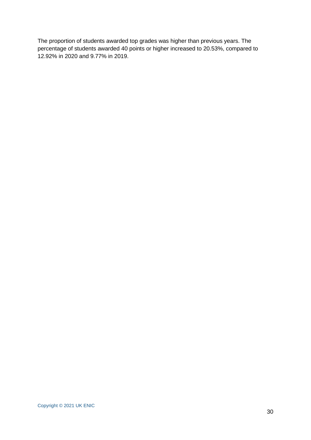The proportion of students awarded top grades was higher than previous years. The percentage of students awarded 40 points or higher increased to 20.53%, compared to 12.92% in 2020 and 9.77% in 2019.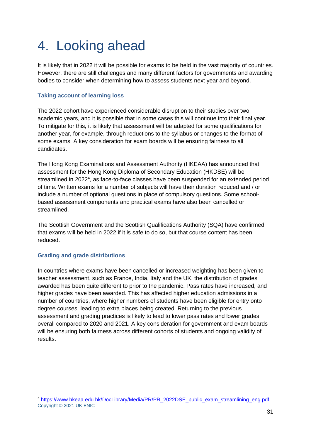# <span id="page-30-0"></span>4. Looking ahead

It is likely that in 2022 it will be possible for exams to be held in the vast majority of countries. However, there are still challenges and many different factors for governments and awarding bodies to consider when determining how to assess students next year and beyond.

### **Taking account of learning loss**

The 2022 cohort have experienced considerable disruption to their studies over two academic years, and it is possible that in some cases this will continue into their final year. To mitigate for this, it is likely that assessment will be adapted for some qualifications for another year, for example, through reductions to the syllabus or changes to the format of some exams. A key consideration for exam boards will be ensuring fairness to all candidates.

The Hong Kong Examinations and Assessment Authority (HKEAA) has announced that assessment for the Hong Kong Diploma of Secondary Education (HKDSE) will be streamlined in 2022<sup>4</sup>, as face-to-face classes have been suspended for an extended period of time. Written exams for a number of subjects will have their duration reduced and / or include a number of optional questions in place of compulsory questions. Some schoolbased assessment components and practical exams have also been cancelled or streamlined.

The Scottish Government and the Scottish Qualifications Authority (SQA) have confirmed that exams will be held in 2022 if it is safe to do so, but that course content has been reduced.

### **Grading and grade distributions**

In countries where exams have been cancelled or increased weighting has been given to teacher assessment, such as France, India, Italy and the UK, the distribution of grades awarded has been quite different to prior to the pandemic. Pass rates have increased, and higher grades have been awarded. This has affected higher education admissions in a number of countries, where higher numbers of students have been eligible for entry onto degree courses, leading to extra places being created. Returning to the previous assessment and grading practices is likely to lead to lower pass rates and lower grades overall compared to 2020 and 2021. A key consideration for government and exam boards will be ensuring both fairness across different cohorts of students and ongoing validity of results.

Copyright © 2021 UK ENIC <sup>4</sup> [https://www.hkeaa.edu.hk/DocLibrary/Media/PR/PR\\_2022DSE\\_public\\_exam\\_streamlining\\_eng.pdf](https://www.hkeaa.edu.hk/DocLibrary/Media/PR/PR_2022DSE_public_exam_streamlining_eng.pdf)